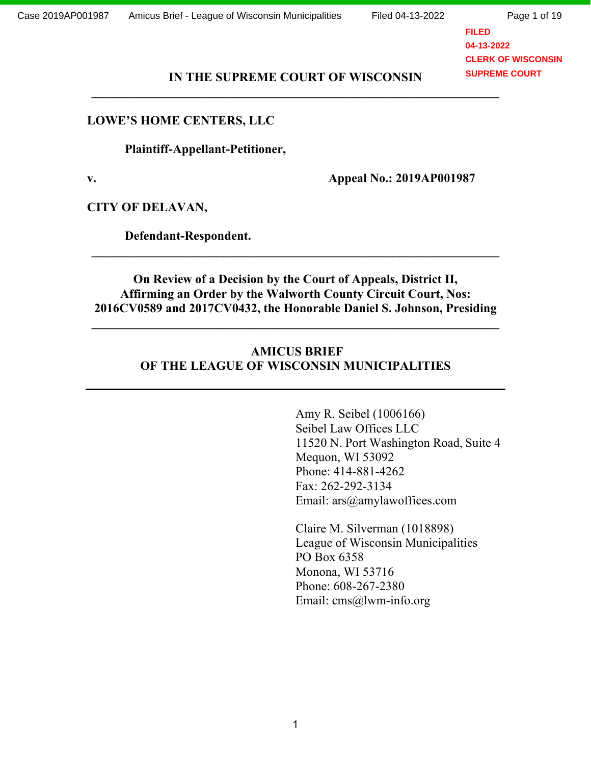Page 1 of 19

**FILED 04-13-2022 CLERK OF WISCONSIN SUPREME COURT**

#### **IN THE SUPREME COURT OF WISCONSIN \_\_\_\_\_\_\_\_\_\_\_\_\_\_\_\_\_\_\_\_\_\_\_\_\_\_\_\_\_\_\_\_\_\_\_\_\_\_\_\_\_\_\_\_\_\_\_\_\_\_\_\_\_\_\_\_\_\_\_\_\_\_\_\_\_**

#### **LOWE'S HOME CENTERS, LLC**

 **Plaintiff-Appellant-Petitioner,**

**v. Appeal No.: 2019AP001987**

**CITY OF DELAVAN,** 

 **Defendant-Respondent.**

**On Review of a Decision by the Court of Appeals, District II, Affirming an Order by the Walworth County Circuit Court, Nos: 2016CV0589 and 2017CV0432, the Honorable Daniel S. Johnson, Presiding**

**\_\_\_\_\_\_\_\_\_\_\_\_\_\_\_\_\_\_\_\_\_\_\_\_\_\_\_\_\_\_\_\_\_\_\_\_\_\_\_\_\_\_\_\_\_\_\_\_\_\_\_\_\_\_\_\_\_\_\_\_\_\_\_\_\_**

**\_\_\_\_\_\_\_\_\_\_\_\_\_\_\_\_\_\_\_\_\_\_\_\_\_\_\_\_\_\_\_\_\_\_\_\_\_\_\_\_\_\_\_\_\_\_\_\_\_\_\_\_\_\_\_\_\_\_\_\_\_\_\_\_\_**

### **AMICUS BRIEF OF THE LEAGUE OF WISCONSIN MUNICIPALITIES**

Amy R. Seibel (1006166) Seibel Law Offices LLC 11520 N. Port Washington Road, Suite 4 Mequon, WI 53092 Phone: 414-881-4262 Fax: 262-292-3134 Email: ars@amylawoffices.com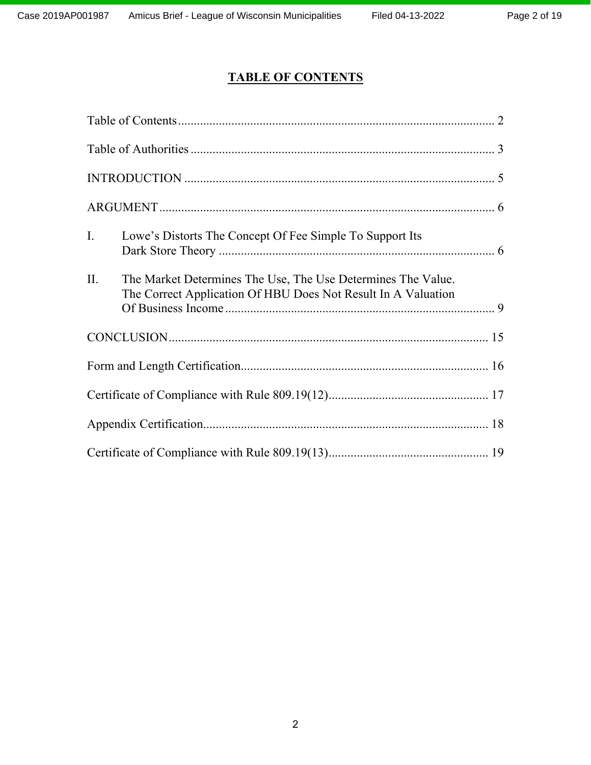# **TABLE OF CONTENTS**

| I.  | Lowe's Distorts The Concept Of Fee Simple To Support Its                                                                      |  |
|-----|-------------------------------------------------------------------------------------------------------------------------------|--|
| II. | The Market Determines The Use, The Use Determines The Value.<br>The Correct Application Of HBU Does Not Result In A Valuation |  |
|     |                                                                                                                               |  |
|     |                                                                                                                               |  |
|     |                                                                                                                               |  |
|     |                                                                                                                               |  |
|     |                                                                                                                               |  |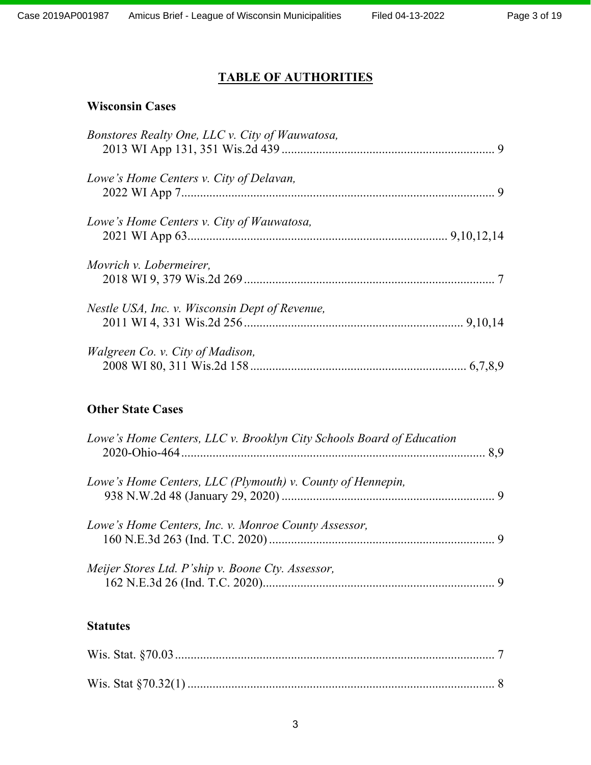## **TABLE OF AUTHORITIES**

### **Wisconsin Cases**

| Bonstores Realty One, LLC v. City of Wauwatosa, |  |
|-------------------------------------------------|--|
| Lowe's Home Centers v. City of Delavan,         |  |
| Lowe's Home Centers v. City of Wauwatosa,       |  |
| Movrich v. Lobermeirer,                         |  |
| Nestle USA, Inc. v. Wisconsin Dept of Revenue,  |  |
| <i>Walgreen Co. v. City of Madison,</i>         |  |

## **Other State Cases**

| Lowe's Home Centers, LLC v. Brooklyn City Schools Board of Education |  |
|----------------------------------------------------------------------|--|
| Lowe's Home Centers, LLC (Plymouth) v. County of Hennepin,           |  |
| Lowe's Home Centers, Inc. v. Monroe County Assessor,                 |  |
| Meijer Stores Ltd. P'ship v. Boone Cty. Assessor,                    |  |

## **Statutes**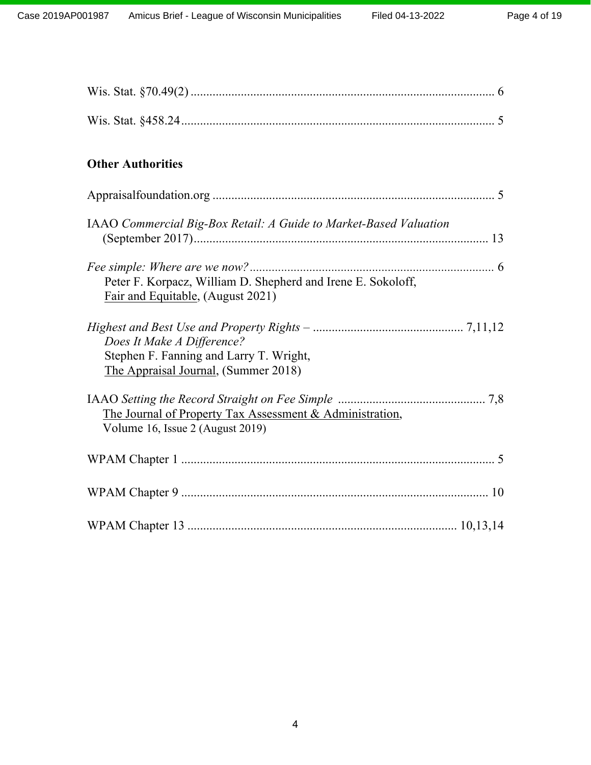| <b>Other Authorities</b>                                                                                      |
|---------------------------------------------------------------------------------------------------------------|
|                                                                                                               |
| IAAO Commercial Big-Box Retail: A Guide to Market-Based Valuation                                             |
| Peter F. Korpacz, William D. Shepherd and Irene E. Sokoloff,<br>Fair and Equitable, (August 2021)             |
| Does It Make A Difference?<br>Stephen F. Fanning and Larry T. Wright,<br>The Appraisal Journal, (Summer 2018) |
| The Journal of Property Tax Assessment & Administration,<br>Volume 16, Issue 2 (August 2019)                  |
|                                                                                                               |
|                                                                                                               |
|                                                                                                               |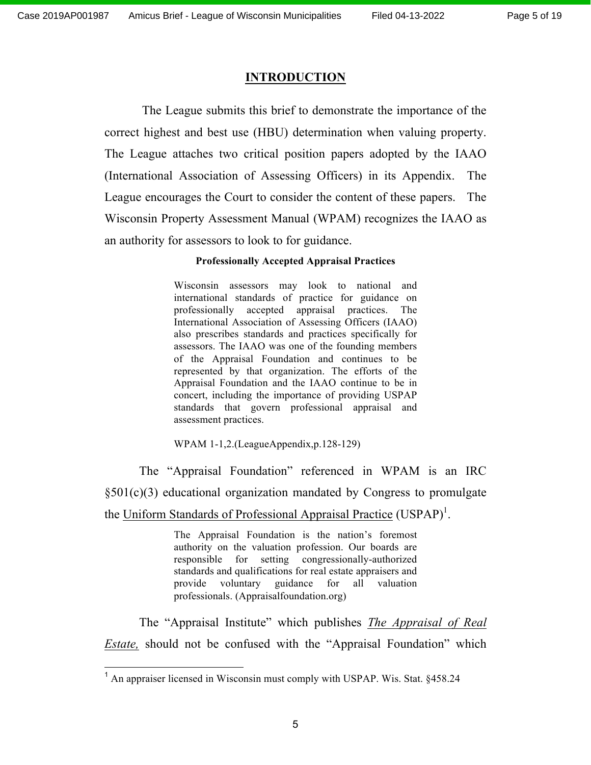#### **INTRODUCTION**

 The League submits this brief to demonstrate the importance of the correct highest and best use (HBU) determination when valuing property. The League attaches two critical position papers adopted by the IAAO (International Association of Assessing Officers) in its Appendix. The League encourages the Court to consider the content of these papers. The Wisconsin Property Assessment Manual (WPAM) recognizes the IAAO as an authority for assessors to look to for guidance.

#### **Professionally Accepted Appraisal Practices**

Wisconsin assessors may look to national and international standards of practice for guidance on professionally accepted appraisal practices. The International Association of Assessing Officers (IAAO) also prescribes standards and practices specifically for assessors. The IAAO was one of the founding members of the Appraisal Foundation and continues to be represented by that organization. The efforts of the Appraisal Foundation and the IAAO continue to be in concert, including the importance of providing USPAP standards that govern professional appraisal and assessment practices.

WPAM 1-1,2.(LeagueAppendix,p.128-129)

The "Appraisal Foundation" referenced in WPAM is an IRC §501(c)(3) educational organization mandated by Congress to promulgate the Uniform Standards of Professional Appraisal Practice (USPAP)<sup>1</sup>.

> The Appraisal Foundation is the nation's foremost authority on the valuation profession. Our boards are responsible for setting congressionally-authorized standards and qualifications for real estate appraisers and provide voluntary guidance for all valuation professionals. (Appraisalfoundation.org)

The "Appraisal Institute" which publishes *The Appraisal of Real Estate,* should not be confused with the "Appraisal Foundation" which

<sup>&</sup>lt;sup>1</sup> An appraiser licensed in Wisconsin must comply with USPAP. Wis. Stat. §458.24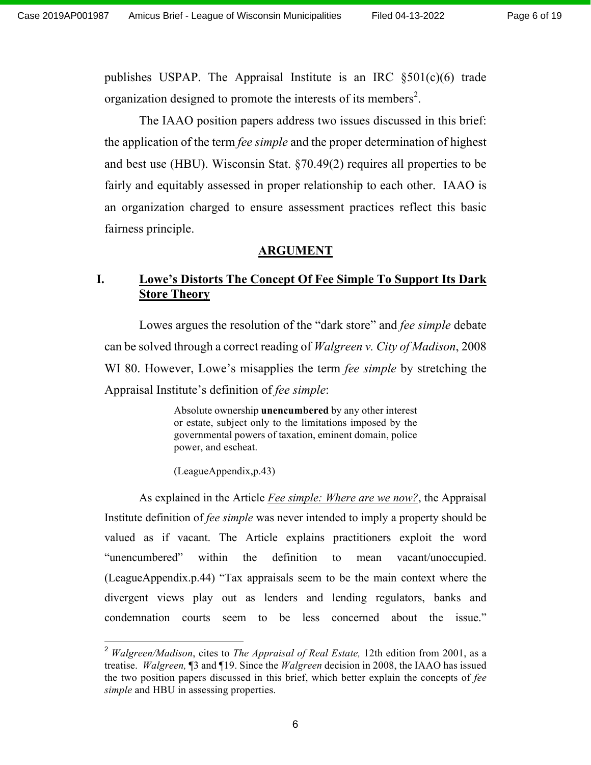publishes USPAP. The Appraisal Institute is an IRC §501(c)(6) trade organization designed to promote the interests of its members<sup>2</sup>.

The IAAO position papers address two issues discussed in this brief: the application of the term *fee simple* and the proper determination of highest and best use (HBU). Wisconsin Stat. §70.49(2) requires all properties to be fairly and equitably assessed in proper relationship to each other. IAAO is an organization charged to ensure assessment practices reflect this basic fairness principle.

#### **ARGUMENT**

### **I. Lowe's Distorts The Concept Of Fee Simple To Support Its Dark Store Theory**

Lowes argues the resolution of the "dark store" and *fee simple* debate can be solved through a correct reading of *Walgreen v. City of Madison*, 2008 WI 80. However, Lowe's misapplies the term *fee simple* by stretching the Appraisal Institute's definition of *fee simple*:

> Absolute ownership **unencumbered** by any other interest or estate, subject only to the limitations imposed by the governmental powers of taxation, eminent domain, police power, and escheat.

(LeagueAppendix,p.43)

As explained in the Article *Fee simple: Where are we now?*, the Appraisal Institute definition of *fee simple* was never intended to imply a property should be valued as if vacant. The Article explains practitioners exploit the word "unencumbered" within the definition to mean vacant/unoccupied. (LeagueAppendix.p.44) "Tax appraisals seem to be the main context where the divergent views play out as lenders and lending regulators, banks and condemnation courts seem to be less concerned about the issue."

 <sup>2</sup> *Walgreen/Madison*, cites to *The Appraisal of Real Estate,* 12th edition from 2001, as a treatise. *Walgreen,* ¶3 and ¶19. Since the *Walgreen* decision in 2008, the IAAO has issued the two position papers discussed in this brief, which better explain the concepts of *fee simple* and HBU in assessing properties.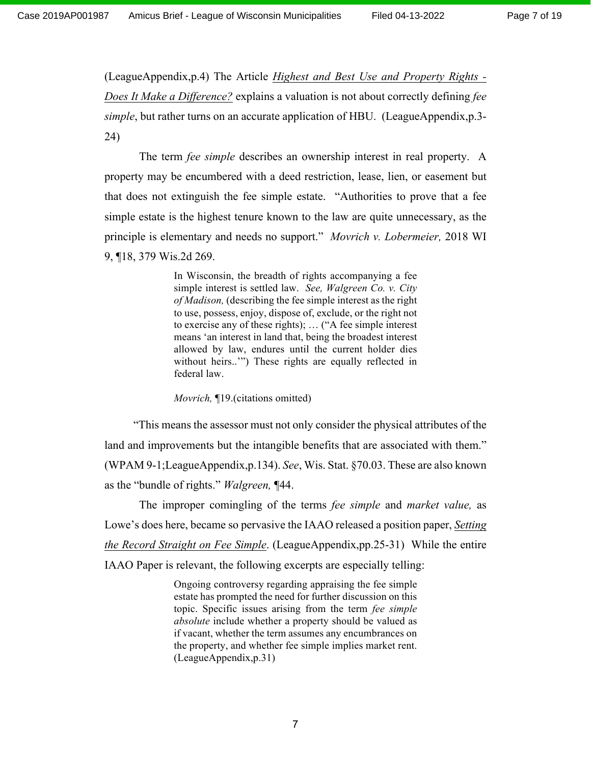(LeagueAppendix,p.4) The Article *Highest and Best Use and Property Rights - Does It Make a Difference?* explains a valuation is not about correctly defining *fee simple*, but rather turns on an accurate application of HBU. (LeagueAppendix,p.3- 24)

The term *fee simple* describes an ownership interest in real property. A property may be encumbered with a deed restriction, lease, lien, or easement but that does not extinguish the fee simple estate. "Authorities to prove that a fee simple estate is the highest tenure known to the law are quite unnecessary, as the principle is elementary and needs no support." *Movrich v. Lobermeier,* 2018 WI 9, ¶18, 379 Wis.2d 269.

> In Wisconsin, the breadth of rights accompanying a fee simple interest is settled law. *See, Walgreen Co. v. City of Madison,* (describing the fee simple interest as the right to use, possess, enjoy, dispose of, exclude, or the right not to exercise any of these rights); … ("A fee simple interest means 'an interest in land that, being the broadest interest allowed by law, endures until the current holder dies without heirs..'") These rights are equally reflected in federal law.

*Movrich,* ¶19.(citations omitted)

 "This means the assessor must not only consider the physical attributes of the land and improvements but the intangible benefits that are associated with them." (WPAM 9-1;LeagueAppendix,p.134). *See*, Wis. Stat. §70.03. These are also known as the "bundle of rights." *Walgreen,* ¶44.

The improper comingling of the terms *fee simple* and *market value,* as Lowe's does here, became so pervasive the IAAO released a position paper, *Setting the Record Straight on Fee Simple*. (LeagueAppendix,pp.25-31) While the entire IAAO Paper is relevant, the following excerpts are especially telling:

> Ongoing controversy regarding appraising the fee simple estate has prompted the need for further discussion on this topic. Specific issues arising from the term *fee simple absolute* include whether a property should be valued as if vacant, whether the term assumes any encumbrances on the property, and whether fee simple implies market rent. (LeagueAppendix,p.31)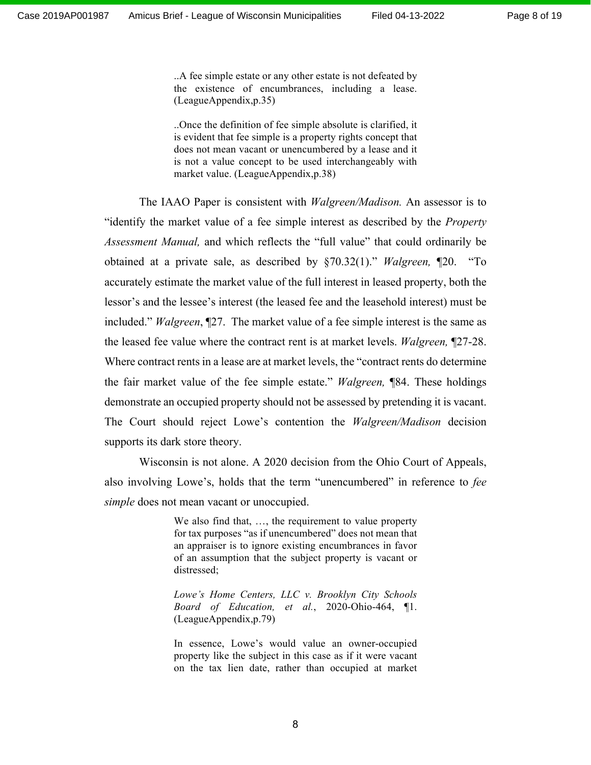..A fee simple estate or any other estate is not defeated by the existence of encumbrances, including a lease. (LeagueAppendix,p.35)

..Once the definition of fee simple absolute is clarified, it is evident that fee simple is a property rights concept that does not mean vacant or unencumbered by a lease and it is not a value concept to be used interchangeably with market value. (LeagueAppendix,p.38)

The IAAO Paper is consistent with *Walgreen/Madison.* An assessor is to "identify the market value of a fee simple interest as described by the *Property Assessment Manual,* and which reflects the "full value" that could ordinarily be obtained at a private sale, as described by §70.32(1)." *Walgreen,* ¶20. "To accurately estimate the market value of the full interest in leased property, both the lessor's and the lessee's interest (the leased fee and the leasehold interest) must be included." *Walgreen*, ¶27. The market value of a fee simple interest is the same as the leased fee value where the contract rent is at market levels. *Walgreen,* ¶27-28. Where contract rents in a lease are at market levels, the "contract rents do determine the fair market value of the fee simple estate." *Walgreen,* ¶84. These holdings demonstrate an occupied property should not be assessed by pretending it is vacant. The Court should reject Lowe's contention the *Walgreen/Madison* decision supports its dark store theory.

Wisconsin is not alone. A 2020 decision from the Ohio Court of Appeals, also involving Lowe's, holds that the term "unencumbered" in reference to *fee simple* does not mean vacant or unoccupied.

> We also find that, ..., the requirement to value property for tax purposes "as if unencumbered" does not mean that an appraiser is to ignore existing encumbrances in favor of an assumption that the subject property is vacant or distressed;

> *Lowe's Home Centers, LLC v. Brooklyn City Schools Board of Education, et al.*, 2020-Ohio-464, ¶1. (LeagueAppendix,p.79)

> In essence, Lowe's would value an owner-occupied property like the subject in this case as if it were vacant on the tax lien date, rather than occupied at market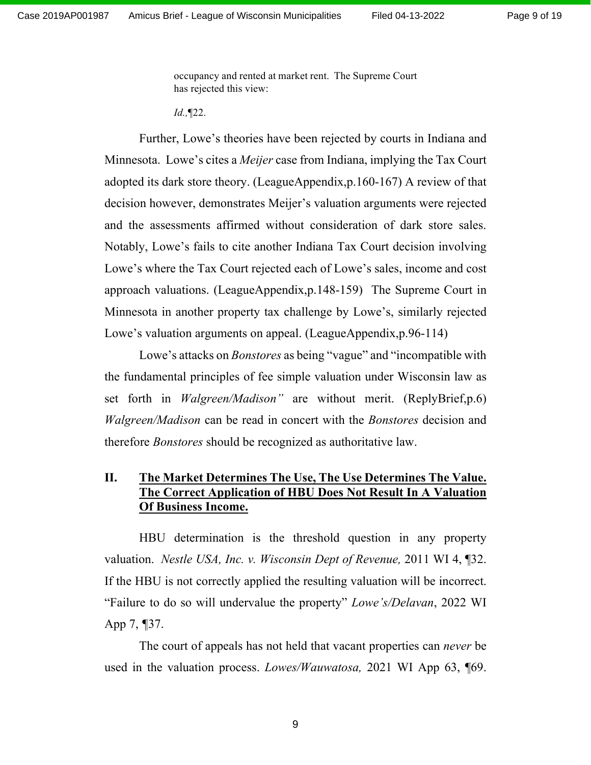occupancy and rented at market rent. The Supreme Court has rejected this view:

*Id.,*¶22.

Further, Lowe's theories have been rejected by courts in Indiana and Minnesota. Lowe's cites a *Meijer* case from Indiana, implying the Tax Court adopted its dark store theory. (LeagueAppendix,p.160-167) A review of that decision however, demonstrates Meijer's valuation arguments were rejected and the assessments affirmed without consideration of dark store sales. Notably, Lowe's fails to cite another Indiana Tax Court decision involving Lowe's where the Tax Court rejected each of Lowe's sales, income and cost approach valuations. (LeagueAppendix,p.148-159) The Supreme Court in Minnesota in another property tax challenge by Lowe's, similarly rejected Lowe's valuation arguments on appeal. (LeagueAppendix, p.96-114)

Lowe's attacks on *Bonstores* as being "vague" and "incompatible with the fundamental principles of fee simple valuation under Wisconsin law as set forth in *Walgreen/Madison"* are without merit. (ReplyBrief,p.6) *Walgreen/Madison* can be read in concert with the *Bonstores* decision and therefore *Bonstores* should be recognized as authoritative law.

#### **II. The Market Determines The Use, The Use Determines The Value. The Correct Application of HBU Does Not Result In A Valuation Of Business Income.**

HBU determination is the threshold question in any property valuation. *Nestle USA, Inc. v. Wisconsin Dept of Revenue,* 2011 WI 4, ¶32. If the HBU is not correctly applied the resulting valuation will be incorrect. "Failure to do so will undervalue the property" *Lowe's/Delavan*, 2022 WI App 7, *¶*37.

The court of appeals has not held that vacant properties can *never* be used in the valuation process. *Lowes/Wauwatosa,* 2021 WI App 63, ¶69.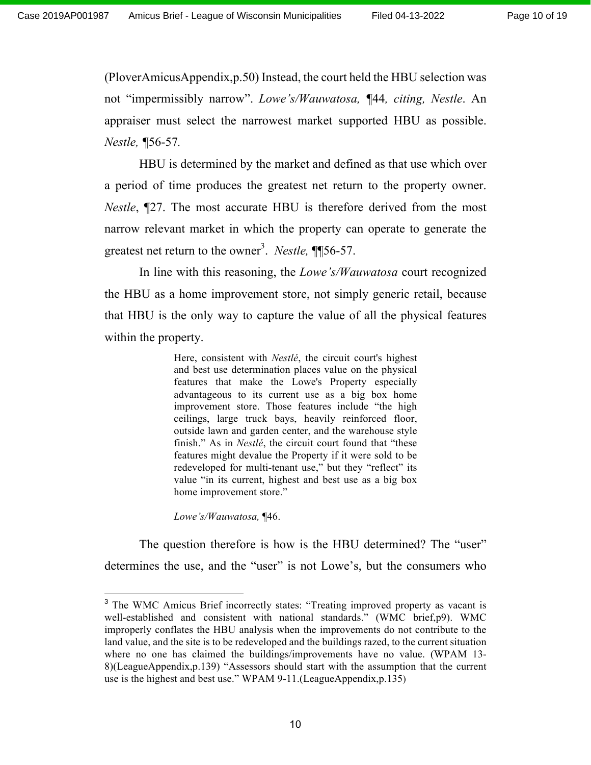(PloverAmicusAppendix,p.50) Instead, the court held the HBU selection was not "impermissibly narrow". *Lowe's/Wauwatosa, ¶*44*, citing, Nestle*. An appraiser must select the narrowest market supported HBU as possible. *Nestle, ¶*56-57*.*

HBU is determined by the market and defined as that use which over a period of time produces the greatest net return to the property owner. *Nestle*, ¶27. The most accurate HBU is therefore derived from the most narrow relevant market in which the property can operate to generate the greatest net return to the owner<sup>3</sup>. *Nestle*, **[156-57.**]

In line with this reasoning, the *Lowe's/Wauwatosa* court recognized the HBU as a home improvement store, not simply generic retail, because that HBU is the only way to capture the value of all the physical features within the property.

> Here, consistent with *Nestlé*, the circuit court's highest and best use determination places value on the physical features that make the Lowe's Property especially advantageous to its current use as a big box home improvement store. Those features include "the high ceilings, large truck bays, heavily reinforced floor, outside lawn and garden center, and the warehouse style finish." As in *Nestlé*, the circuit court found that "these features might devalue the Property if it were sold to be redeveloped for multi-tenant use," but they "reflect" its value "in its current, highest and best use as a big box home improvement store."

*Lowe's/Wauwatosa,* ¶46.

The question therefore is how is the HBU determined? The "user" determines the use, and the "user" is not Lowe's, but the consumers who

<sup>&</sup>lt;sup>3</sup> The WMC Amicus Brief incorrectly states: "Treating improved property as vacant is well-established and consistent with national standards." (WMC brief,p9). WMC improperly conflates the HBU analysis when the improvements do not contribute to the land value, and the site is to be redeveloped and the buildings razed, to the current situation where no one has claimed the buildings/improvements have no value. (WPAM 13- 8)(LeagueAppendix,p.139) "Assessors should start with the assumption that the current use is the highest and best use." WPAM 9-11.(LeagueAppendix,p.135)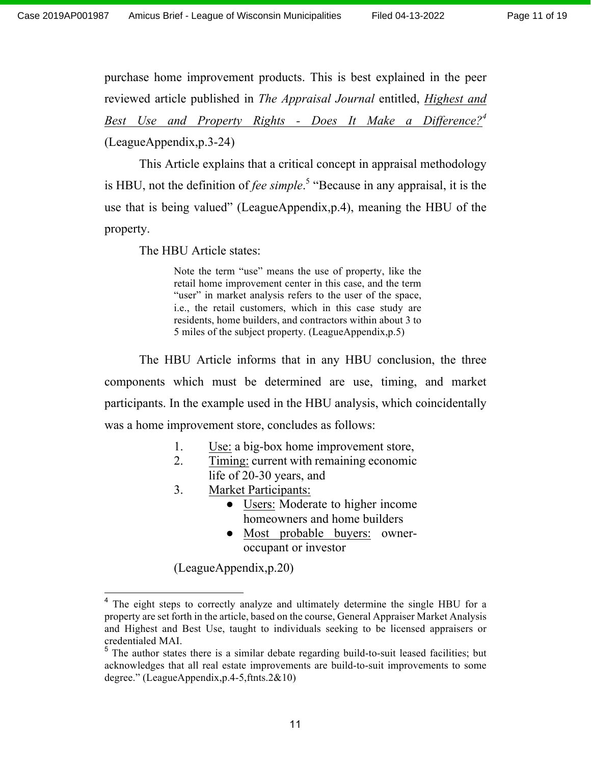purchase home improvement products. This is best explained in the peer reviewed article published in *The Appraisal Journal* entitled, *Highest and Best Use and Property Rights - Does It Make a Difference?4* (LeagueAppendix,p.3-24)

This Article explains that a critical concept in appraisal methodology is HBU, not the definition of *fee simple*. <sup>5</sup> "Because in any appraisal, it is the use that is being valued" (LeagueAppendix,p.4), meaning the HBU of the property.

The HBU Article states:

Note the term "use" means the use of property, like the retail home improvement center in this case, and the term "user" in market analysis refers to the user of the space, i.e., the retail customers, which in this case study are residents, home builders, and contractors within about 3 to 5 miles of the subject property. (LeagueAppendix,p.5)

The HBU Article informs that in any HBU conclusion, the three components which must be determined are use, timing, and market participants. In the example used in the HBU analysis, which coincidentally was a home improvement store, concludes as follows:

- 1. Use: a big-box home improvement store,
- 2. Timing: current with remaining economic life of 20-30 years, and
- 3. Market Participants:
	- Users: Moderate to higher income homeowners and home builders
	- Most probable buyers: owneroccupant or investor

(LeagueAppendix,p.20)

<sup>&</sup>lt;sup>4</sup> The eight steps to correctly analyze and ultimately determine the single HBU for a property are set forth in the article, based on the course, General Appraiser Market Analysis and Highest and Best Use, taught to individuals seeking to be licensed appraisers or credentialed MAI.

 $<sup>5</sup>$  The author states there is a similar debate regarding build-to-suit leased facilities; but</sup> acknowledges that all real estate improvements are build-to-suit improvements to some degree." (LeagueAppendix,p.4-5,ftnts.2&10)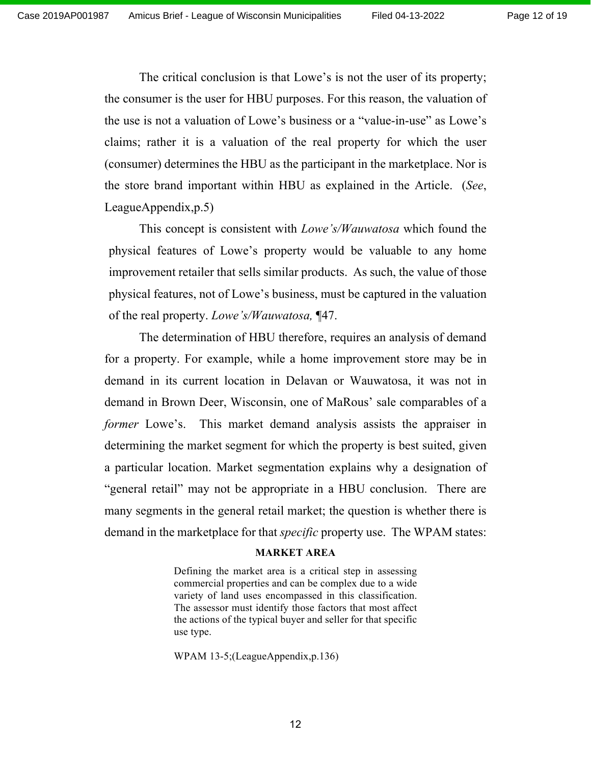The critical conclusion is that Lowe's is not the user of its property; the consumer is the user for HBU purposes. For this reason, the valuation of the use is not a valuation of Lowe's business or a "value-in-use" as Lowe's claims; rather it is a valuation of the real property for which the user (consumer) determines the HBU as the participant in the marketplace. Nor is the store brand important within HBU as explained in the Article. (*See*, LeagueAppendix,p.5)

This concept is consistent with *Lowe's/Wauwatosa* which found the physical features of Lowe's property would be valuable to any home improvement retailer that sells similar products. As such, the value of those physical features, not of Lowe's business, must be captured in the valuation of the real property. *Lowe's/Wauwatosa,* ¶47.

The determination of HBU therefore, requires an analysis of demand for a property. For example, while a home improvement store may be in demand in its current location in Delavan or Wauwatosa, it was not in demand in Brown Deer, Wisconsin, one of MaRous' sale comparables of a *former* Lowe's. This market demand analysis assists the appraiser in determining the market segment for which the property is best suited, given a particular location. Market segmentation explains why a designation of "general retail" may not be appropriate in a HBU conclusion. There are many segments in the general retail market; the question is whether there is demand in the marketplace for that *specific* property use. The WPAM states:

#### **MARKET AREA**

Defining the market area is a critical step in assessing commercial properties and can be complex due to a wide variety of land uses encompassed in this classification. The assessor must identify those factors that most affect the actions of the typical buyer and seller for that specific use type.

WPAM 13-5;(LeagueAppendix,p.136)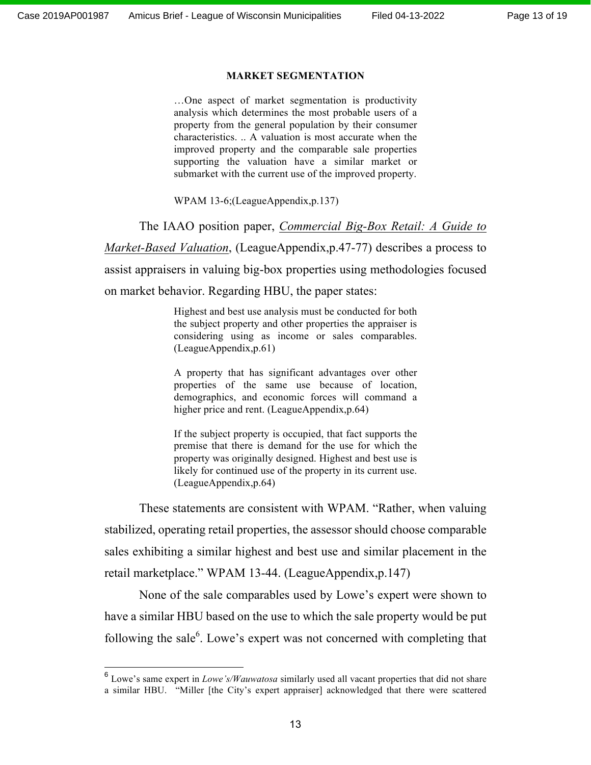#### **MARKET SEGMENTATION**

…One aspect of market segmentation is productivity analysis which determines the most probable users of a property from the general population by their consumer characteristics. .. A valuation is most accurate when the improved property and the comparable sale properties supporting the valuation have a similar market or submarket with the current use of the improved property.

WPAM 13-6;(LeagueAppendix,p.137)

The IAAO position paper, *Commercial Big-Box Retail: A Guide to Market-Based Valuation*, (LeagueAppendix,p.47-77) describes a process to assist appraisers in valuing big-box properties using methodologies focused on market behavior. Regarding HBU, the paper states:

> Highest and best use analysis must be conducted for both the subject property and other properties the appraiser is considering using as income or sales comparables. (LeagueAppendix,p.61)

> A property that has significant advantages over other properties of the same use because of location, demographics, and economic forces will command a higher price and rent. (LeagueAppendix, p.64)

> If the subject property is occupied, that fact supports the premise that there is demand for the use for which the property was originally designed. Highest and best use is likely for continued use of the property in its current use. (LeagueAppendix,p.64)

These statements are consistent with WPAM. "Rather, when valuing stabilized, operating retail properties, the assessor should choose comparable sales exhibiting a similar highest and best use and similar placement in the retail marketplace." WPAM 13-44. (LeagueAppendix,p.147)

None of the sale comparables used by Lowe's expert were shown to have a similar HBU based on the use to which the sale property would be put following the sale $6$ . Lowe's expert was not concerned with completing that

 <sup>6</sup> Lowe's same expert in *Lowe's/Wauwatosa* similarly used all vacant properties that did not share a similar HBU. "Miller [the City's expert appraiser] acknowledged that there were scattered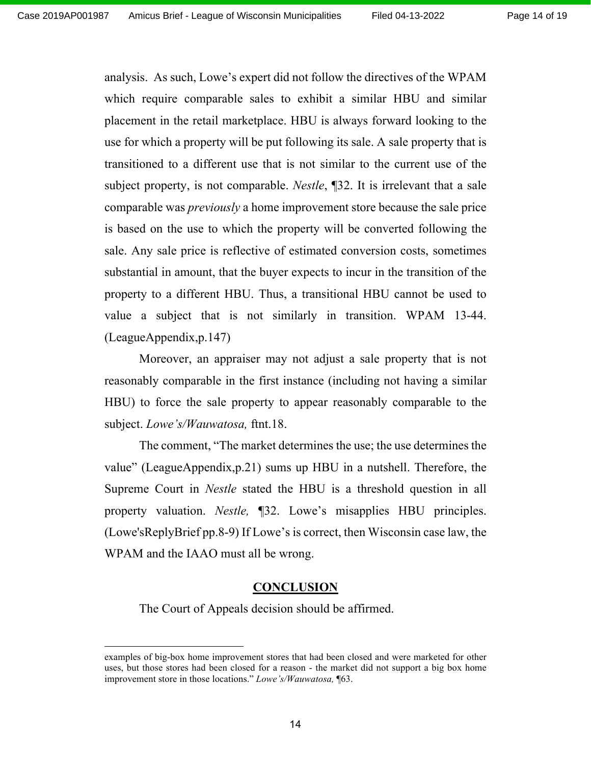analysis. As such, Lowe's expert did not follow the directives of the WPAM which require comparable sales to exhibit a similar HBU and similar placement in the retail marketplace. HBU is always forward looking to the use for which a property will be put following its sale. A sale property that is transitioned to a different use that is not similar to the current use of the subject property, is not comparable. *Nestle*, ¶32. It is irrelevant that a sale comparable was *previously* a home improvement store because the sale price is based on the use to which the property will be converted following the sale. Any sale price is reflective of estimated conversion costs, sometimes substantial in amount, that the buyer expects to incur in the transition of the property to a different HBU. Thus, a transitional HBU cannot be used to value a subject that is not similarly in transition. WPAM 13-44. (LeagueAppendix,p.147)

Moreover, an appraiser may not adjust a sale property that is not reasonably comparable in the first instance (including not having a similar HBU) to force the sale property to appear reasonably comparable to the subject. *Lowe's/Wauwatosa,* ftnt.18.

The comment, "The market determines the use; the use determines the value" (LeagueAppendix,p.21) sums up HBU in a nutshell. Therefore, the Supreme Court in *Nestle* stated the HBU is a threshold question in all property valuation. *Nestle,* ¶32. Lowe's misapplies HBU principles. (Lowe'sReplyBrief pp.8-9) If Lowe's is correct, then Wisconsin case law, the WPAM and the IAAO must all be wrong.

#### **CONCLUSION**

The Court of Appeals decision should be affirmed.

1

examples of big-box home improvement stores that had been closed and were marketed for other uses, but those stores had been closed for a reason - the market did not support a big box home improvement store in those locations." *Lowe's/Wauwatosa,* ¶63.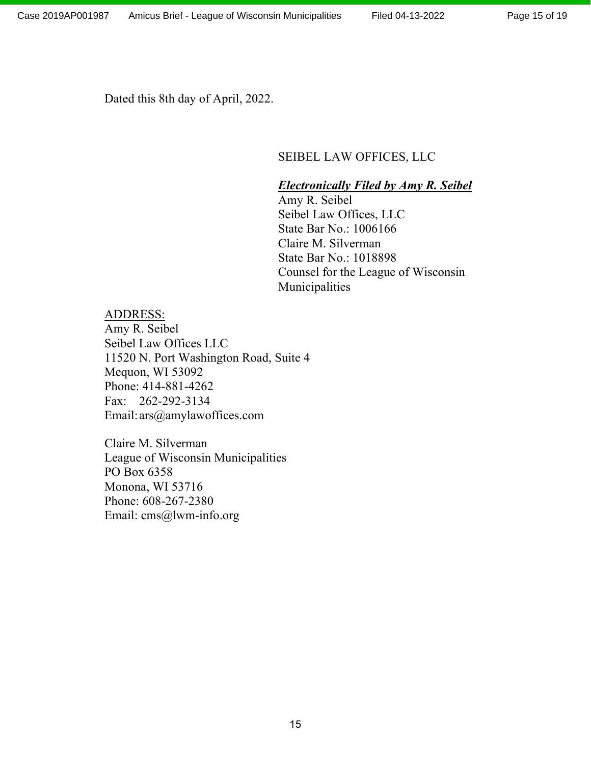Dated this 8th day of April, 2022.

#### SEIBEL LAW OFFICES, LLC

#### *Electronically Filed by Amy R. Seibel*

Amy R. Seibel Seibel Law Offices, LLC State Bar No.: 1006166 Claire M. Silverman State Bar No.: 1018898 Counsel for the League of Wisconsin Municipalities

#### ADDRESS:

Amy R. Seibel Seibel Law Offices LLC 11520 N. Port Washington Road, Suite 4 Mequon, WI 53092 Phone: 414-881-4262 Fax: 262-292-3134 Email:ars@amylawoffices.com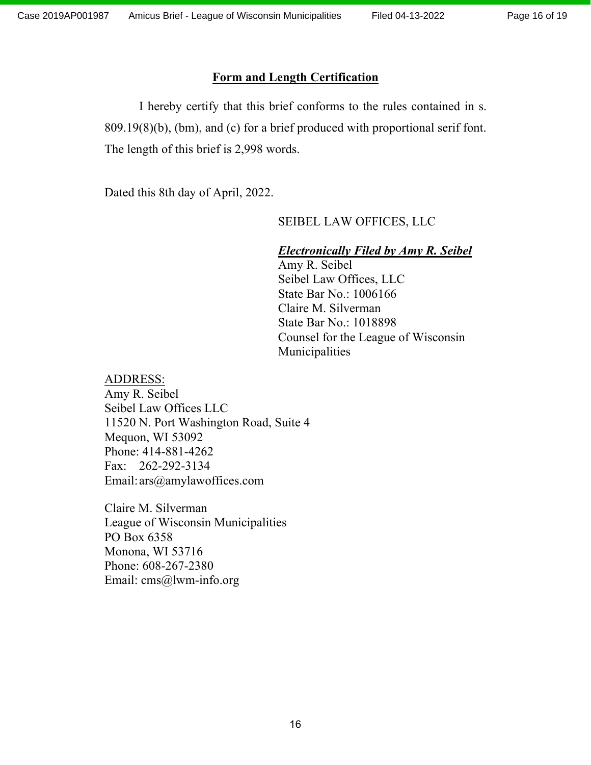#### **Form and Length Certification**

I hereby certify that this brief conforms to the rules contained in s. 809.19(8)(b), (bm), and (c) for a brief produced with proportional serif font. The length of this brief is 2,998 words.

Dated this 8th day of April, 2022.

#### SEIBEL LAW OFFICES, LLC

#### *Electronically Filed by Amy R. Seibel*

Amy R. Seibel Seibel Law Offices, LLC State Bar No.: 1006166 Claire M. Silverman State Bar No.: 1018898 Counsel for the League of Wisconsin Municipalities

#### ADDRESS:

Amy R. Seibel Seibel Law Offices LLC 11520 N. Port Washington Road, Suite 4 Mequon, WI 53092 Phone: 414-881-4262 Fax: 262-292-3134 Email:ars@amylawoffices.com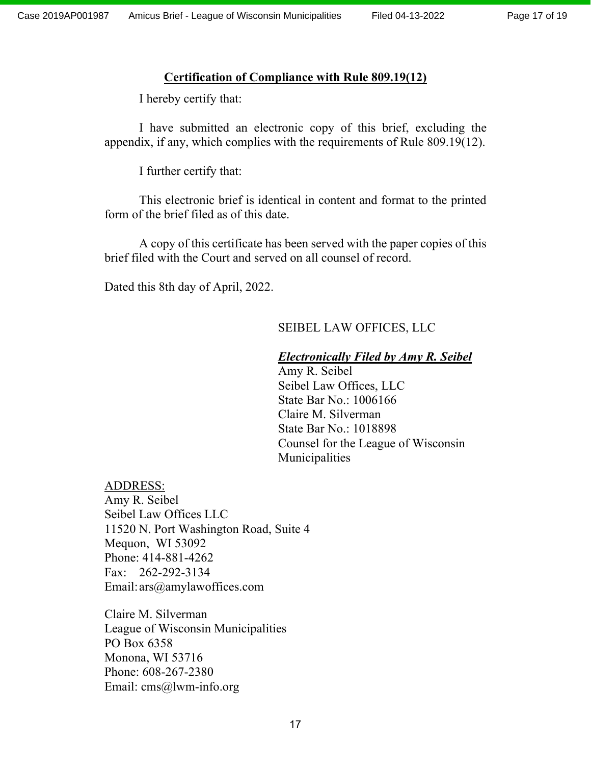#### **Certification of Compliance with Rule 809.19(12)**

I hereby certify that:

I have submitted an electronic copy of this brief, excluding the appendix, if any, which complies with the requirements of Rule 809.19(12).

I further certify that:

This electronic brief is identical in content and format to the printed form of the brief filed as of this date.

A copy of this certificate has been served with the paper copies of this brief filed with the Court and served on all counsel of record.

Dated this 8th day of April, 2022.

### SEIBEL LAW OFFICES, LLC

#### *Electronically Filed by Amy R. Seibel*

Amy R. Seibel Seibel Law Offices, LLC State Bar No.: 1006166 Claire M. Silverman State Bar No.: 1018898 Counsel for the League of Wisconsin Municipalities

#### ADDRESS:

Amy R. Seibel Seibel Law Offices LLC 11520 N. Port Washington Road, Suite 4 Mequon, WI 53092 Phone: 414-881-4262 Fax: 262-292-3134 Email:ars@amylawoffices.com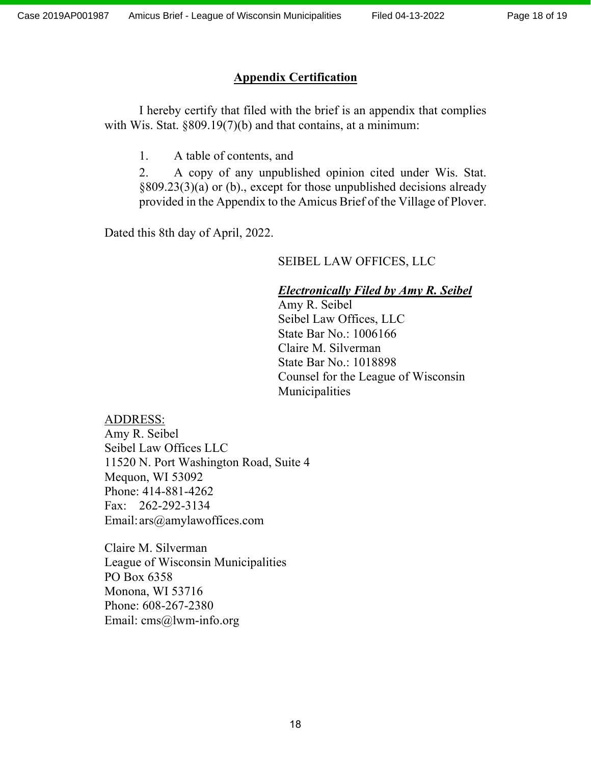### **Appendix Certification**

I hereby certify that filed with the brief is an appendix that complies with Wis. Stat. §809.19(7)(b) and that contains, at a minimum:

1. A table of contents, and

2. A copy of any unpublished opinion cited under Wis. Stat. §809.23(3)(a) or (b)., except for those unpublished decisions already provided in the Appendix to the Amicus Brief of the Village of Plover.

Dated this 8th day of April, 2022.

### SEIBEL LAW OFFICES, LLC

### *Electronically Filed by Amy R. Seibel*

Amy R. Seibel Seibel Law Offices, LLC State Bar No.: 1006166 Claire M. Silverman State Bar No.: 1018898 Counsel for the League of Wisconsin Municipalities

#### ADDRESS:

Amy R. Seibel Seibel Law Offices LLC 11520 N. Port Washington Road, Suite 4 Mequon, WI 53092 Phone: 414-881-4262 Fax: 262-292-3134 Email:ars@amylawoffices.com